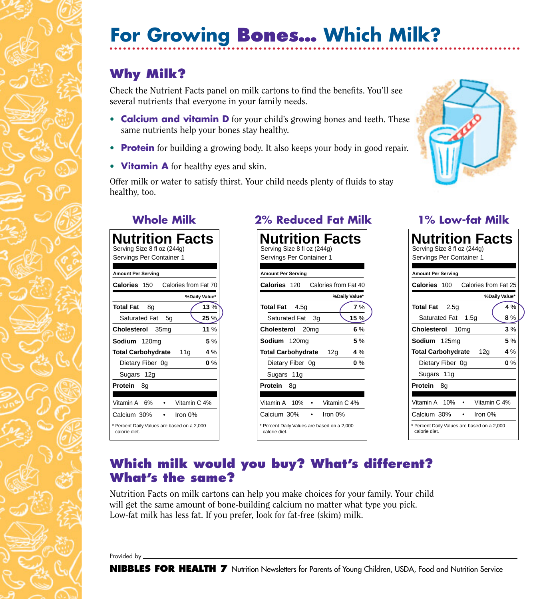# **For Growing Bones… Which Milk?**

## **Why Milk?**

Check the Nutrient Facts panel on milk cartons to find the benefits. You'll see several nutrients that everyone in your family needs.

- **Calcium and vitamin D** for your child's growing bones and teeth. These same nutrients help your bones stay healthy.
- **Protein** for building a growing body. It also keeps your body in good repair.
- **Vitamin A** for healthy eyes and skin.

Offer milk or water to satisfy thirst. Your child needs plenty of fluids to stay healthy, too.



| <b>Nutrition Facts</b><br>Serving Size 8 fl oz (244g)<br>Servings Per Container 1 |
|-----------------------------------------------------------------------------------|
| <b>Amount Per Serving</b>                                                         |
| Calories<br>Calories from Fat 70<br>150                                           |
| %Daily Value*                                                                     |
| 13%<br>Total Fat<br>8g                                                            |
| <b>Saturated Fat</b><br>25%<br>5q                                                 |
| Cholesterol<br>11 $%$<br>35ma                                                     |
| Sodium 120mg<br>5%                                                                |
| 4%<br><b>Total Carbohydrate</b><br>11g                                            |
| $0\%$<br>Dietary Fiber 0g                                                         |
| Sugars 12g                                                                        |
| Protein<br>8g                                                                     |
|                                                                                   |
| Vitamin A<br>Vitamin C 4%<br>6%                                                   |
| Calcium 30%<br>Iron 0%                                                            |
| * Percent Daily Values are based on a 2,000<br>calorie diet.                      |

### **Whole Milk 2% Reduced Fat Milk 1% Low-fat Milk**



| Nutrition Facts<br>Serving Size 8 fl oz (244g)<br>Servings Per Container 1 |
|----------------------------------------------------------------------------|
|                                                                            |
| Amount Per Serving                                                         |
| Calories from Fat 25<br><b>Calories 100</b>                                |
| %Daily Value*                                                              |
| 4 %<br>Total Fat<br>2.5 <sub>q</sub>                                       |
| Saturated Fat<br>1.5g<br>8 %                                               |
| Cholesterol<br>3%<br>10 <sub>mq</sub>                                      |
| 5%<br>Sodium<br>125 <sub>mg</sub>                                          |
| <b>Total Carbohydrate</b><br>12g<br>$4\%$                                  |
| $0\%$<br>Dietary Fiber 0g                                                  |
| Sugars 11g                                                                 |
| Protein<br>8g                                                              |
|                                                                            |
| Vitamin A 10%<br>Vitamin C 4%                                              |
| Calcium 30%<br>Iron 0%                                                     |
| * Percent Daily Values are based on a 2,000<br>calorie diet.               |

#### **Which milk would you buy? What's different? What's the same?**

Nutrition Facts on milk cartons can help you make choices for your family. Your child will get the same amount of bone-building calcium no matter what type you pick. Low-fat milk has less fat. If you prefer, look for fat-free (skim) milk.

Provided by